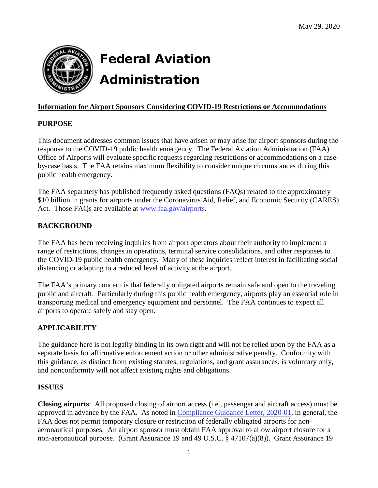

# Federal Aviation Administration

# **Information for Airport Sponsors Considering COVID-19 Restrictions or Accommodations**

# **PURPOSE**

This document addresses common issues that have arisen or may arise for airport sponsors during the response to the COVID-19 public health emergency. The Federal Aviation Administration (FAA) Office of Airports will evaluate specific requests regarding restrictions or accommodations on a caseby-case basis. The FAA retains maximum flexibility to consider unique circumstances during this public health emergency.

The FAA separately has published frequently asked questions (FAQs) related to the approximately \$10 billion in grants for airports under the Coronavirus Aid, Relief, and Economic Security (CARES) Act. Those FAQs are available at [www.faa.gov/airports.](http://www.faa.gov/airports)

# **BACKGROUND**

The FAA has been receiving inquiries from airport operators about their authority to implement a range of restrictions, changes in operations, terminal service consolidations, and other responses to the COVID-19 public health emergency. Many of these inquiries reflect interest in facilitating social distancing or adapting to a reduced level of activity at the airport.

The FAA's primary concern is that federally obligated airports remain safe and open to the traveling public and aircraft. Particularly during this public health emergency, airports play an essential role in transporting medical and emergency equipment and personnel. The FAA continues to expect all airports to operate safely and stay open.

# **APPLICABILITY**

The guidance here is not legally binding in its own right and will not be relied upon by the FAA as a separate basis for affirmative enforcement action or other administrative penalty. Conformity with this guidance, as distinct from existing statutes, regulations, and grant assurances, is voluntary only, and nonconformity will not affect existing rights and obligations.

# **ISSUES**

**Closing airports**: All proposed closing of airport access (i.e., passenger and aircraft access) must be approved in advance by the FAA. As noted in [Compliance](https://www.faa.gov/airports/airport_compliance/media/CGL-2020-01-Temporarily-Close-Restrict-Non-Aeronautical-Purposes.pdf) Guidance Letter, 2020-01, in general, the FAA does not permit temporary closure or restriction of federally obligated airports for nonaeronautical purposes. An airport sponsor must obtain FAA approval to allow airport closure for a non-aeronautical purpose. (Grant Assurance 19 and 49 U.S.C. § 47107(a)(8)). Grant Assurance 19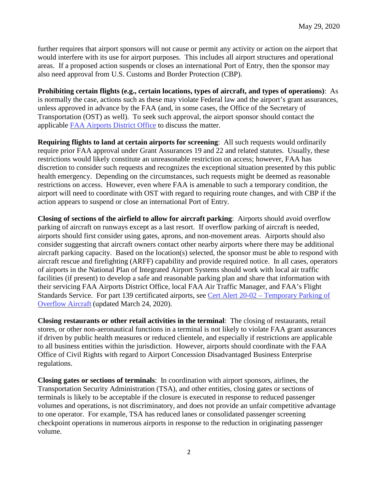further requires that airport sponsors will not cause or permit any activity or action on the airport that would interfere with its use for airport purposes. This includes all airport structures and operational areas. If a proposed action suspends or closes an international Port of Entry, then the sponsor may also need approval from U.S. Customs and Border Protection (CBP).

**Prohibiting certain flights (e.g., certain locations, types of aircraft, and types of operations)**: As is normally the case, actions such as these may violate Federal law and the airport's grant assurances, unless approved in advance by the FAA (and, in some cases, the Office of the Secretary of Transportation (OST) as well). To seek such approval, the airport sponsor should contact the applicable FAA [Airports](https://www.faa.gov/about/office_org/headquarters_offices/arp/regional_offices/) District Office to discuss the matter.

**Requiring flights to land at certain airports for screening**:All such requests would ordinarily require prior FAA approval under Grant Assurances 19 and 22 and related statutes. Usually, these restrictions would likely constitute an unreasonable restriction on access; however, FAA has discretion to consider such requests and recognizes the exceptional situation presented by this public health emergency. Depending on the circumstances, such requests might be deemed as reasonable restrictions on access. However, even where FAA is amenable to such a temporary condition, the airport will need to coordinate with OST with regard to requiring route changes, and with CBP if the action appears to suspend or close an international Port of Entry.

**Closing of sections of the airfield to allow for aircraft parking**: Airports should avoid overflow parking of aircraft on runways except as a last resort. If overflow parking of aircraft is needed, airports should first consider using gates, aprons, and non-movement areas. Airports should also consider suggesting that aircraft owners contact other nearby airports where there may be additional aircraft parking capacity. Based on the location(s) selected, the sponsor must be able to respond with aircraft rescue and firefighting (ARFF) capability and provide required notice. In all cases, operators of airports in the National Plan of Integrated Airport Systems should work with local air traffic facilities (if present) to develop a safe and reasonable parking plan and share that information with their servicing FAA Airports District Office, local FAA Air Traffic Manager, and FAA's Flight Standards Service. For part 139 certificated airports, see Cert Alert 20-02 – [Temporary](https://www.faa.gov/airports/airport_safety/certalerts/media/part-139-cert-alert-20-02-COVID-19-temporary-aircraft-parking-updated-20200324.pdf) Parking of [Overflow](https://www.faa.gov/airports/airport_safety/certalerts/media/part-139-cert-alert-20-02-COVID-19-temporary-aircraft-parking-updated-20200324.pdf) Aircraft (updated March 24, 2020).

**Closing restaurants or other retail activities in the terminal**: The closing of restaurants, retail stores, or other non-aeronautical functions in a terminal is not likely to violate FAA grant assurances if driven by public health measures or reduced clientele, and especially if restrictions are applicable to all business entities within the jurisdiction. However, airports should coordinate with the FAA Office of Civil Rights with regard to Airport Concession Disadvantaged Business Enterprise regulations.

**Closing gates or sections of terminals**: In coordination with airport sponsors, airlines, the Transportation Security Administration (TSA), and other entities, closing gates or sections of terminals is likely to be acceptable if the closure is executed in response to reduced passenger volumes and operations, is not discriminatory, and does not provide an unfair competitive advantage to one operator. For example, TSA has reduced lanes or consolidated passenger screening checkpoint operations in numerous airports in response to the reduction in originating passenger volume.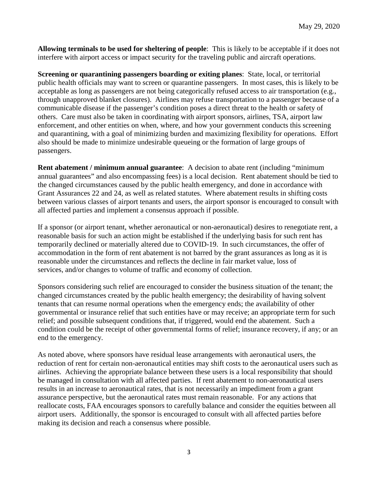**Allowing terminals to be used for sheltering of people**: This is likely to be acceptable if it does not interfere with airport access or impact security for the traveling public and aircraft operations.

**Screening or quarantining passengers boarding or exiting planes**: State, local, or territorial public health officials may want to screen or quarantine passengers. In most cases, this is likely to be acceptable as long as passengers are not being categorically refused access to air transportation (e.g., through unapproved blanket closures). Airlines may refuse transportation to a passenger because of a communicable disease if the passenger's condition poses a direct threat to the health or safety of others. Care must also be taken in coordinating with airport sponsors, airlines, TSA, airport law enforcement, and other entities on when, where, and how your government conducts this screening and quarantining, with a goal of minimizing burden and maximizing flexibility for operations. Effort also should be made to minimize undesirable queueing or the formation of large groups of passengers.

**Rent abatement / minimum annual guarantee**: A decision to abate rent (including "minimum annual guarantees" and also encompassing fees) is a local decision. Rent abatement should be tied to the changed circumstances caused by the public health emergency, and done in accordance with Grant Assurances 22 and 24, as well as related statutes. Where abatement results in shifting costs between various classes of airport tenants and users, the airport sponsor is encouraged to consult with all affected parties and implement a consensus approach if possible.

If a sponsor (or airport tenant, whether aeronautical or non-aeronautical) desires to renegotiate rent, a reasonable basis for such an action might be established if the underlying basis for such rent has temporarily declined or materially altered due to COVID-19. In such circumstances, the offer of accommodation in the form of rent abatement is not barred by the grant assurances as long as it is reasonable under the circumstances and reflects the decline in fair market value, loss of services, and/or changes to volume of traffic and economy of collection.

Sponsors considering such relief are encouraged to consider the business situation of the tenant; the changed circumstances created by the public health emergency; the desirability of having solvent tenants that can resume normal operations when the emergency ends; the availability of other governmental or insurance relief that such entities have or may receive; an appropriate term for such relief; and possible subsequent conditions that, if triggered, would end the abatement. Such a condition could be the receipt of other governmental forms of relief; insurance recovery, if any; or an end to the emergency.

As noted above, where sponsors have residual lease arrangements with aeronautical users, the reduction of rent for certain non-aeronautical entities may shift costs to the aeronautical users such as airlines. Achieving the appropriate balance between these users is a local responsibility that should be managed in consultation with all affected parties. If rent abatement to non-aeronautical users results in an increase to aeronautical rates, that is not necessarily an impediment from a grant assurance perspective, but the aeronautical rates must remain reasonable. For any actions that reallocate costs, FAA encourages sponsors to carefully balance and consider the equities between all airport users. Additionally, the sponsor is encouraged to consult with all affected parties before making its decision and reach a consensus where possible.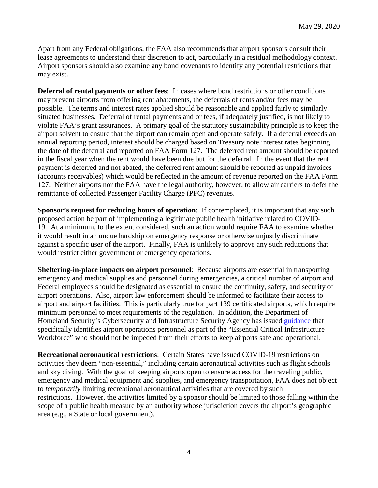Apart from any Federal obligations, the FAA also recommends that airport sponsors consult their lease agreements to understand their discretion to act, particularly in a residual methodology context. Airport sponsors should also examine any bond covenants to identify any potential restrictions that may exist.

**Deferral of rental payments or other fees**: In cases where bond restrictions or other conditions may prevent airports from offering rent abatements, the deferrals of rents and/or fees may be possible. The terms and interest rates applied should be reasonable and applied fairly to similarly situated businesses. Deferral of rental payments and or fees, if adequately justified, is not likely to violate FAA's grant assurances. A primary goal of the statutory sustainability principle is to keep the airport solvent to ensure that the airport can remain open and operate safely. If a deferral exceeds an annual reporting period, interest should be charged based on Treasury note interest rates beginning the date of the deferral and reported on FAA Form 127. The deferred rent amount should be reported in the fiscal year when the rent would have been due but for the deferral. In the event that the rent payment is deferred and not abated, the deferred rent amount should be reported as unpaid invoices (accounts receivables) which would be reflected in the amount of revenue reported on the FAA Form 127. Neither airports nor the FAA have the legal authority, however, to allow air carriers to defer the remittance of collected Passenger Facility Charge (PFC) revenues.

**Sponsor's request for reducing hours of operation**:If contemplated, it is important that any such proposed action be part of implementing a legitimate public health initiative related to COVID-19. At a minimum, to the extent considered, such an action would require FAA to examine whether it would result in an undue hardship on emergency response or otherwise unjustly discriminate against a specific user of the airport. Finally, FAA is unlikely to approve any such reductions that would restrict either government or emergency operations.

**Sheltering-in-place impacts on airport personnel**: Because airports are essential in transporting emergency and medical supplies and personnel during emergencies, a critical number of airport and Federal employees should be designated as essential to ensure the continuity, safety, and security of airport operations. Also, airport law enforcement should be informed to facilitate their access to airport and airport facilities. This is particularly true for part 139 certificated airports, which require minimum personnel to meet requirements of the regulation. In addition, the Department of Homeland Security's Cybersecurity and Infrastructure Security Agency has issued [guidance](https://www.cisa.gov/publication/guidance-essential-critical-infrastructure-workforce) that specifically identifies airport operations personnel as part of the "Essential Critical Infrastructure Workforce" who should not be impeded from their efforts to keep airports safe and operational.

**Recreational aeronautical restrictions**: Certain States have issued COVID-19 restrictions on activities they deem "non-essential," including certain aeronautical activities such as flight schools and sky diving. With the goal of keeping airports open to ensure access for the traveling public, emergency and medical equipment and supplies, and emergency transportation, FAA does not object to *temporarily* limiting recreational aeronautical activities that are covered by such restrictions. However, the activities limited by a sponsor should be limited to those falling within the scope of a public health measure by an authority whose jurisdiction covers the airport's geographic area (e.g., a State or local government).